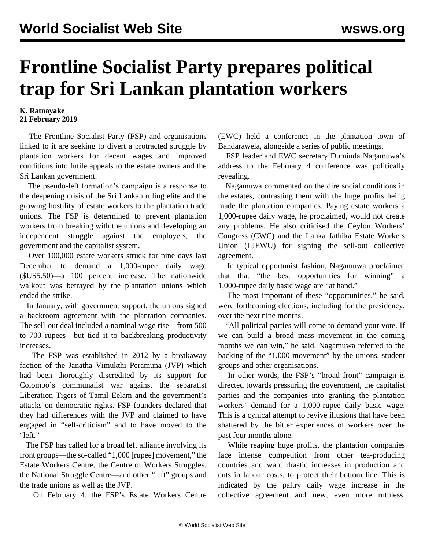## **Frontline Socialist Party prepares political trap for Sri Lankan plantation workers**

## **K. Ratnayake 21 February 2019**

 The Frontline Socialist Party (FSP) and organisations linked to it are seeking to divert a protracted struggle by plantation workers for decent wages and improved conditions into futile appeals to the estate owners and the Sri Lankan government.

 The pseudo-left formation's campaign is a response to the deepening crisis of the Sri Lankan ruling elite and the growing hostility of estate workers to the plantation trade unions. The FSP is determined to prevent plantation workers from breaking with the unions and developing an independent struggle against the employers, the government and the capitalist system.

 Over 100,000 estate workers struck for nine days last December to demand a 1,000-rupee daily wage (\$US5.50)—a 100 percent increase. The nationwide walkout was betrayed by the plantation unions which ended the strike.

 In January, with government support, the unions signed a backroom agreement with the plantation companies. The sell-out deal included a nominal wage rise—from 500 to 700 rupees—but tied it to backbreaking productivity increases.

 The FSP was established in 2012 by a breakaway faction of the Janatha Vimukthi Peramuna (JVP) which had been thoroughly discredited by its support for Colombo's communalist war against the separatist Liberation Tigers of Tamil Eelam and the government's attacks on democratic rights. FSP founders declared that they had differences with the JVP and claimed to have engaged in "self-criticism" and to have moved to the "left."

 The FSP has called for a broad left alliance involving its front groups—the so-called "1,000 [rupee] movement," the Estate Workers Centre, the Centre of Workers Struggles, the National Struggle Centre—and other "left" groups and the trade unions as well as the JVP.

On February 4, the FSP's Estate Workers Centre

(EWC) held a conference in the plantation town of Bandarawela, alongside a series of public meetings.

 FSP leader and EWC secretary Duminda Nagamuwa's address to the February 4 conference was politically revealing.

 Nagamuwa commented on the dire social conditions in the estates, contrasting them with the huge profits being made the plantation companies. Paying estate workers a 1,000-rupee daily wage, he proclaimed, would not create any problems. He also criticised the Ceylon Workers' Congress (CWC) and the Lanka Jathika Estate Workers Union (LJEWU) for signing the sell-out collective agreement.

 In typical opportunist fashion, Nagamuwa proclaimed that that "the best opportunities for winning" a 1,000-rupee daily basic wage are "at hand."

 The most important of these "opportunities," he said, were forthcoming elections, including for the presidency, over the next nine months.

 "All political parties will come to demand your vote. If we can build a broad mass movement in the coming months we can win," he said. Nagamuwa referred to the backing of the "1,000 movement" by the unions, student groups and other organisations.

 In other words, the FSP's "broad front" campaign is directed towards pressuring the government, the capitalist parties and the companies into granting the plantation workers' demand for a 1,000-rupee daily basic wage. This is a cynical attempt to revive illusions that have been shattered by the bitter experiences of workers over the past four months alone.

 While reaping huge profits, the plantation companies face intense competition from other tea-producing countries and want drastic increases in production and cuts in labour costs, to protect their bottom line. This is indicated by the paltry daily wage increase in the collective agreement and new, even more ruthless,